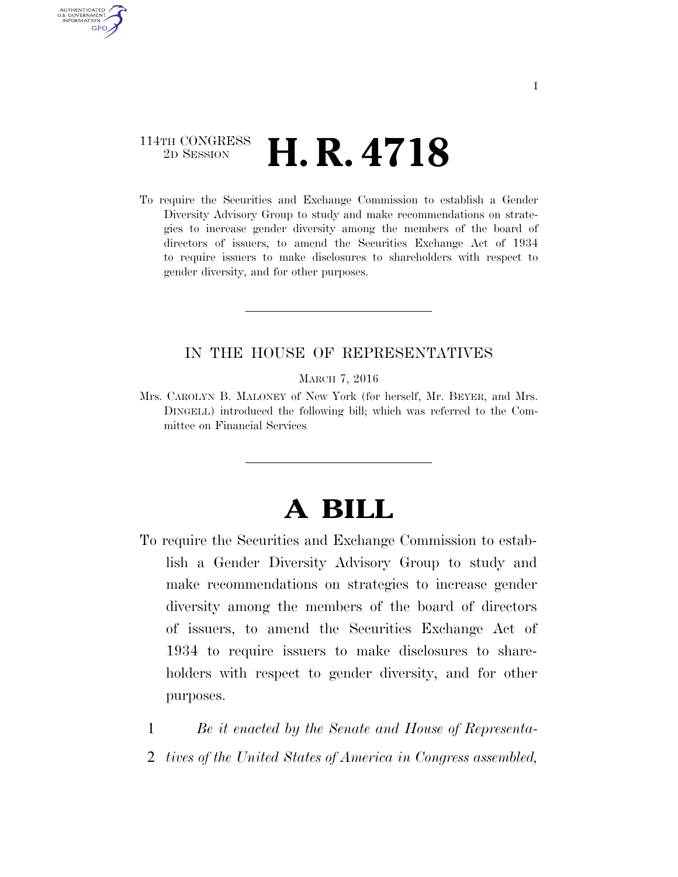## 114TH CONGRESS <sup>2D SESSION</sup> **H. R. 4718**

AUTHENTICATED U.S. GOVERNMENT **GPO** 

> To require the Securities and Exchange Commission to establish a Gender Diversity Advisory Group to study and make recommendations on strategies to increase gender diversity among the members of the board of directors of issuers, to amend the Securities Exchange Act of 1934 to require issuers to make disclosures to shareholders with respect to gender diversity, and for other purposes.

### IN THE HOUSE OF REPRESENTATIVES

MARCH 7, 2016

Mrs. CAROLYN B. MALONEY of New York (for herself, Mr. BEYER, and Mrs. DINGELL) introduced the following bill; which was referred to the Committee on Financial Services

# **A BILL**

- To require the Securities and Exchange Commission to establish a Gender Diversity Advisory Group to study and make recommendations on strategies to increase gender diversity among the members of the board of directors of issuers, to amend the Securities Exchange Act of 1934 to require issuers to make disclosures to shareholders with respect to gender diversity, and for other purposes.
	- 1 *Be it enacted by the Senate and House of Representa-*
	- 2 *tives of the United States of America in Congress assembled,*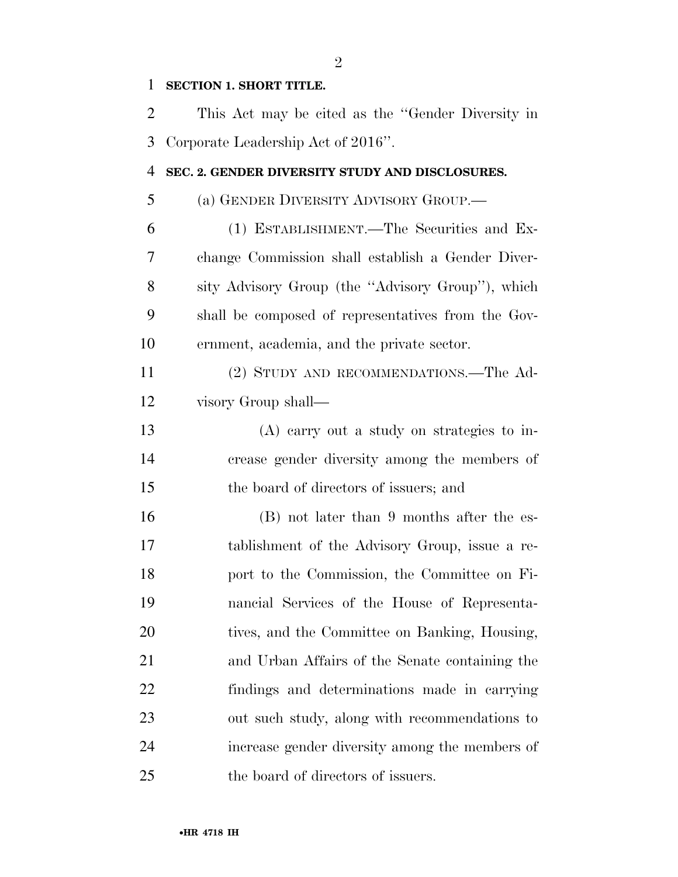## **SECTION 1. SHORT TITLE.**

| $\overline{2}$ | This Act may be cited as the "Gender Diversity in  |
|----------------|----------------------------------------------------|
| 3              | Corporate Leadership Act of 2016".                 |
| $\overline{4}$ | SEC. 2. GENDER DIVERSITY STUDY AND DISCLOSURES.    |
| 5              | (a) GENDER DIVERSITY ADVISORY GROUP.—              |
| 6              | (1) ESTABLISHMENT.—The Securities and Ex-          |
| 7              | change Commission shall establish a Gender Diver-  |
| 8              | sity Advisory Group (the "Advisory Group"), which  |
| 9              | shall be composed of representatives from the Gov- |
| 10             | ernment, academia, and the private sector.         |
| 11             | (2) STUDY AND RECOMMENDATIONS.—The Ad-             |
| 12             | visory Group shall—                                |
| 13             | $(A)$ carry out a study on strategies to in-       |
| 14             | crease gender diversity among the members of       |
| 15             | the board of directors of issuers; and             |
| 16             | (B) not later than 9 months after the es-          |
| 17             | tablishment of the Advisory Group, issue a re-     |
| 18             | port to the Commission, the Committee on Fi-       |
| 19             | nancial Services of the House of Representa-       |
| 20             | tives, and the Committee on Banking, Housing,      |
| 21             | and Urban Affairs of the Senate containing the     |
| 22             | findings and determinations made in carrying       |
| 23             | out such study, along with recommendations to      |
| 24             | increase gender diversity among the members of     |
| 25             | the board of directors of issuers.                 |